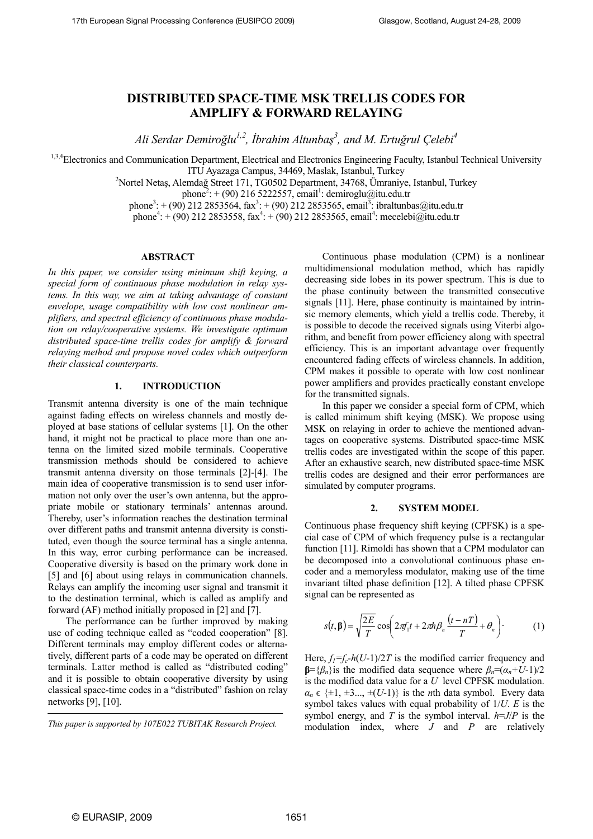# **DISTRIBUTED SPACE-TIME MSK TRELLIS CODES FOR AMPLIFY & FORWARD RELAYING**

*Ali Serdar Demiroğlu1,2, İbrahim Altunbaş 3 , and M. Ertuğrul Çelebi4* 

1,3,4 Electronics and Communication Department, Electrical and Electronics Engineering Faculty, Istanbul Technical University

ITU Ayazaga Campus, 34469, Maslak, Istanbul, Turkey 2

<sup>2</sup>Nortel Netaş, Alemdağ Street 171, TG0502 Department, 34768, Ümraniye, Istanbul, Turkey

phone<sup>2</sup>: + (90) 216 5222557, email<sup>1</sup>: demiroglu@itu.edu.tr

phone<sup>3</sup>: + (90) 212 2853564, fax<sup>3</sup>: + (90) 212 2853565, email<sup>3</sup>: ibraltunbas@itu.edu.tr

phone<sup>4</sup>: + (90) 212 2853558, fax<sup>4</sup>: + (90) 212 2853565, email<sup>4</sup>: mecelebi@itu.edu.tr

## **ABSTRACT**

*In this paper, we consider using minimum shift keying, a special form of continuous phase modulation in relay systems. In this way, we aim at taking advantage of constant envelope, usage compatibility with low cost nonlinear amplifiers, and spectral efficiency of continuous phase modulation on relay/cooperative systems. We investigate optimum distributed space-time trellis codes for amplify & forward relaying method and propose novel codes which outperform their classical counterparts.* 

## **1. INTRODUCTION**

Transmit antenna diversity is one of the main technique against fading effects on wireless channels and mostly deployed at base stations of cellular systems [1]. On the other hand, it might not be practical to place more than one antenna on the limited sized mobile terminals. Cooperative transmission methods should be considered to achieve transmit antenna diversity on those terminals [2]-[4]. The main idea of cooperative transmission is to send user information not only over the user's own antenna, but the appropriate mobile or stationary terminals' antennas around. Thereby, user's information reaches the destination terminal over different paths and transmit antenna diversity is constituted, even though the source terminal has a single antenna. In this way, error curbing performance can be increased. Cooperative diversity is based on the primary work done in [5] and [6] about using relays in communication channels. Relays can amplify the incoming user signal and transmit it to the destination terminal, which is called as amplify and forward (AF) method initially proposed in [2] and [7].

The performance can be further improved by making use of coding technique called as "coded cooperation" [8]. Different terminals may employ different codes or alternatively, different parts of a code may be operated on different terminals. Latter method is called as "distributed coding" and it is possible to obtain cooperative diversity by using classical space-time codes in a "distributed" fashion on relay networks [9], [10].

*This paper is supported by 107E022 TUBITAK Research Project.*

Continuous phase modulation (CPM) is a nonlinear multidimensional modulation method, which has rapidly decreasing side lobes in its power spectrum. This is due to the phase continuity between the transmitted consecutive signals [11]. Here, phase continuity is maintained by intrinsic memory elements, which yield a trellis code. Thereby, it is possible to decode the received signals using Viterbi algorithm, and benefit from power efficiency along with spectral efficiency. This is an important advantage over frequently encountered fading effects of wireless channels. In addition, CPM makes it possible to operate with low cost nonlinear power amplifiers and provides practically constant envelope for the transmitted signals.

In this paper we consider a special form of CPM, which is called minimum shift keying (MSK). We propose using MSK on relaying in order to achieve the mentioned advantages on cooperative systems. Distributed space-time MSK trellis codes are investigated within the scope of this paper. After an exhaustive search, new distributed space-time MSK trellis codes are designed and their error performances are simulated by computer programs.

#### **2. SYSTEM MODEL**

Continuous phase frequency shift keying (CPFSK) is a special case of CPM of which frequency pulse is a rectangular function [11]. Rimoldi has shown that a CPM modulator can be decomposed into a convolutional continuous phase encoder and a memoryless modulator, making use of the time invariant tilted phase definition [12]. A tilted phase CPFSK signal can be represented as

$$
s(t,\beta) = \sqrt{\frac{2E}{T}} \cos \left( 2\pi f_1 t + 2\pi h \beta_n \frac{(t-nT)}{T} + \theta_n \right).
$$
 (1)

Here,  $f_l = f_c - h(U-1)/2T$  is the modified carrier frequency and **β**={ $β_n$ }is the modified data sequence where  $β_n=(α_n+U-1)/2$ is the modified data value for a *U* level CPFSK modulation.  $\alpha_n \in \{\pm 1, \pm 3, \ldots, \pm (U-1)\}\$ is the *n*th data symbol. Every data symbol takes values with equal probability of 1/*U*. *E* is the symbol energy, and *T* is the symbol interval.  $h=J/P$  is the modulation index, where *J* and *P* are relatively

 $\overline{a}$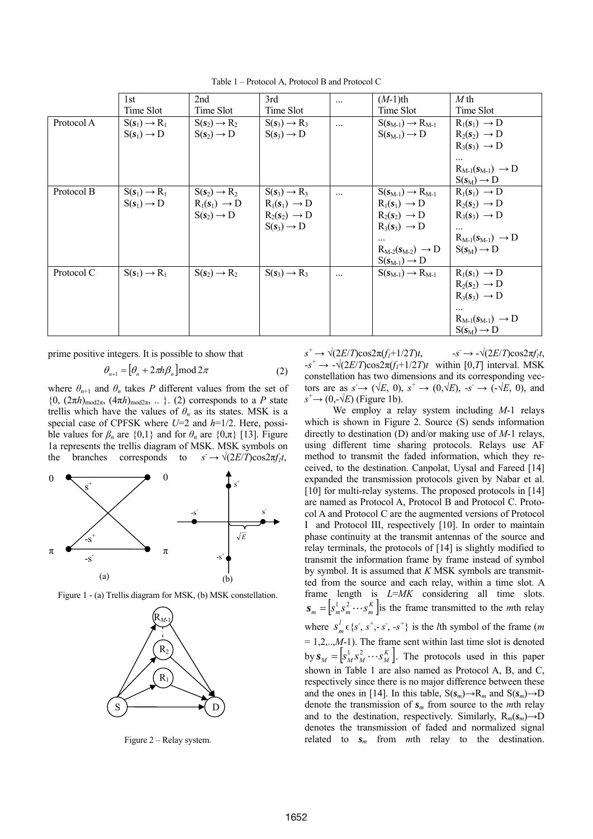Table 1 – Protocol A, Protocol B and Protocol C

|            | 1st                      | 2nd                      | 3rd                      | $\ddotsc$  | $(M-1)$ th                       | $M$ th                           |
|------------|--------------------------|--------------------------|--------------------------|------------|----------------------------------|----------------------------------|
|            | Time Slot                | Time Slot                | Time Slot                |            | Time Slot                        | Time Slot                        |
| Protocol A | $S(s_1) \rightarrow R_1$ | $S(s_2) \rightarrow R_2$ | $S(s_3) \rightarrow R_3$ | $\ddots$   | $S(s_{M-1}) \rightarrow R_{M-1}$ | $R_1(s_1) \rightarrow D$         |
|            | $S(s_1) \rightarrow D$   | $S(s_2) \rightarrow D$   | $S(s_3) \rightarrow D$   |            | $S(s_{M-1}) \rightarrow D$       | $R_2(s_2) \rightarrow D$         |
|            |                          |                          |                          |            |                                  | $R_3(s_3) \rightarrow D$         |
|            |                          |                          |                          |            |                                  |                                  |
|            |                          |                          |                          |            |                                  | $R_{M-1}(s_{M-1}) \rightarrow D$ |
|            |                          |                          |                          |            |                                  | $S(s_M) \rightarrow D$           |
| Protocol B | $S(s_1) \rightarrow R_1$ | $S(s_2) \rightarrow R_2$ | $S(s_3) \rightarrow R_3$ | $\dddotsc$ | $S(s_{M-1}) \rightarrow R_{M-1}$ | $R_1(s_1) \rightarrow D$         |
|            | $S(s_1) \rightarrow D$   | $R_1(s_1) \rightarrow D$ | $R_1(s_1) \rightarrow D$ |            | $R_1(s_1) \rightarrow D$         | $R_2(s_2) \rightarrow D$         |
|            |                          | $S(s_2) \rightarrow D$   | $R_2(s_2) \rightarrow D$ |            | $R_2(s_2) \rightarrow D$         | $R_3(s_3) \rightarrow D$         |
|            |                          |                          | $S(s_3) \rightarrow D$   |            | $R_3(s_3) \rightarrow D$         |                                  |
|            |                          |                          |                          |            | $\cdots$                         | $R_{M-1}(s_{M-1}) \rightarrow D$ |
|            |                          |                          |                          |            | $R_{M-2}(s_{M-2}) \rightarrow D$ | $S(s_M) \rightarrow D$           |
|            |                          |                          |                          |            | $S(s_{M-1}) \rightarrow D$       |                                  |
| Protocol C | $S(s_1) \rightarrow R_1$ | $S(s_2) \rightarrow R_2$ | $S(s_3) \rightarrow R_3$ | $\cdots$   | $S(s_{M-1}) \rightarrow R_{M-1}$ | $R_1(s_1) \rightarrow D$         |
|            |                          |                          |                          |            |                                  | $R_2(s_2) \rightarrow D$         |
|            |                          |                          |                          |            |                                  | $R_3(s_3) \rightarrow D$         |
|            |                          |                          |                          |            |                                  | $\cdots$                         |
|            |                          |                          |                          |            |                                  | $R_{M-1}(s_{M-1}) \rightarrow D$ |
|            |                          |                          |                          |            |                                  | $S(s_M) \rightarrow D$           |

prime positive integers. It is possible to show that

$$
\theta_{n+1} = \left[\theta_n + 2\pi h \beta_n\right] \mod 2\pi \tag{2}
$$

where  $\theta_{n+1}$  and  $\theta_n$  takes *P* different values from the set of  ${0, (2\pi h)_{\text{mod}2\pi}, (4\pi h)_{\text{mod}2\pi}, \dots}$ . (2) corresponds to a *P* state trellis which have the values of  $\theta_n$  as its states. MSK is a special case of CPFSK where *U*=2 and *h*=1/2. Here, possible values for  $\beta_n$  are  $\{0,1\}$  and for  $\theta_n$  are  $\{0,\pi\}$  [13]. Figure 1a represents the trellis diagram of MSK. MSK symbols on the branches corresponds to  $\rightarrow \sqrt{(2E/T)}\cos 2\pi f_1 t$ ,



Figure 1 - (a) Trellis diagram for MSK, (b) MSK constellation.



Figure 2 – Relay system.

 $s^+ \to \sqrt{(2E/T)\cos 2\pi (f_1 + 1/2T)t}$ , -*s*  $\rightarrow$  - $\sqrt{(2E/T)\cos 2\pi f_l t}$ ,  $-s^+ \rightarrow -\sqrt{(2E/T)\cos 2\pi (f_1 + 1/2T)t}$  within [0,*T*] interval. MSK constellation has two dimensions and its corresponding vectors are as  $s \to (\sqrt{E}, 0)$ ,  $s^+ \to (0, \sqrt{E})$ ,  $-s^- \to (-\sqrt{E}, 0)$ , and  $s^+$   $\rightarrow$  (0,- $\sqrt{k}$ ) (Figure 1b).

 We employ a relay system including *M*-1 relays which is shown in Figure 2. Source (S) sends information directly to destination (D) and/or making use of *M*-1 relays, using different time sharing protocols. Relays use AF method to transmit the faded information, which they received, to the destination. Canpolat, Uysal and Fareed [14] expanded the transmission protocols given by Nabar et al. [10] for multi-relay systems. The proposed protocols in [14] are named as Protocol A, Protocol B and Protocol C. Protocol A and Protocol C are the augmented versions of Protocol I and Protocol III, respectively [10]. In order to maintain phase continuity at the transmit antennas of the source and relay terminals, the protocols of [14] is slightly modified to transmit the information frame by frame instead of symbol by symbol. It is assumed that *K* MSK symbols are transmitted from the source and each relay, within a time slot. A frame length is *L*=*MK* considering all time slots.  $S_m = \left[ s_m^1 s_m^2 \cdots s_m^K \right]$  is the frame transmitted to the *m*th relay where  $S_m^l \in \{s^-, s^+, -s^-, -s^+\}$  is the *l*th symbol of the frame (*m*  $= 1, 2, \ldots, M-1$ ). The frame sent within last time slot is denoted by  $\mathbf{s}_M = \left[ s_M^1 s_M^2 \cdots s_M^K \right]$ . The protocols used in this paper shown in Table 1 are also named as Protocol A, B, and C, respectively since there is no major difference between these and the ones in [14]. In this table,  $S(s_m) \rightarrow R_m$  and  $S(s_m) \rightarrow D$ denote the transmission of  $s_m$  from source to the *m*th relay and to the destination, respectively. Similarly,  $R_m(s_m) \rightarrow D$ denotes the transmission of faded and normalized signal related to  $s_m$  from *m*th relay to the destination.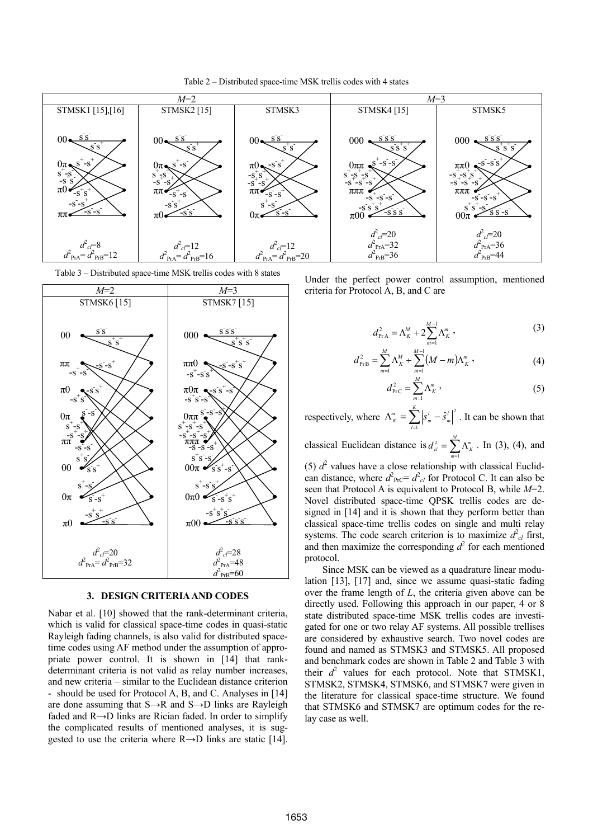



Table 3 – Distributed space-time MSK trellis codes with 8 states



## **3. DESIGN CRITERIA AND CODES**

Nabar et al. [10] showed that the rank-determinant criteria, which is valid for classical space-time codes in quasi-static Rayleigh fading channels, is also valid for distributed spacetime codes using AF method under the assumption of appropriate power control. It is shown in [14] that rankdeterminant criteria is not valid as relay number increases, and new criteria – similar to the Euclidean distance criterion should be used for Protocol A, B, and C. Analyses in [14] are done assuming that  $S \rightarrow R$  and  $S \rightarrow D$  links are Rayleigh faded and R→D links are Rician faded. In order to simplify the complicated results of mentioned analyses, it is suggested to use the criteria where  $R\rightarrow D$  links are static [14].

Under the perfect power control assumption, mentioned criteria for Protocol A, B, and C are

$$
d_{\text{PrA}}^2 = \Lambda_K^M + 2 \sum_{m=1}^{M-1} \Lambda_K^m \,, \tag{3}
$$

$$
d_{\text{PrB}}^2 = \sum_{m=1}^{M} \Lambda_K^M + \sum_{m=1}^{M-1} (M-m) \Lambda_K^m, \qquad (4)
$$

$$
d_{\rm PrC}^2 = \sum_{m=1}^{M} \Lambda_K^m \,, \tag{5}
$$

respectively, where  $\Lambda_{K}^{m} = \sum_{l=1}^{K} |s_{m}^{l}|$ *l*  $\sum_{l=1}^{m}$   $S_m^l - \hat{S}_m^l$  $\hat{S}_{m}^{l}\big|^{2}$ . It can be shown that

classical Euclidean distance is  $d_{cl}^2 = \sum_{m=1}^{M} \Lambda$ *m*  $d_{cl}^2 = \sum_{m=1}^N \Lambda_k^m$  $\lambda_{el}^2 = \sum \Lambda_{K}^m$ . In (3), (4), and

(5)  $d^2$  values have a close relationship with classical Euclidean distance, where  $d_{\text{PrC}}^2 = d_{cl}^2$  for Protocol C. It can also be seen that Protocol A is equivalent to Protocol B, while *M*=2. Novel distributed space-time QPSK trellis codes are designed in [14] and it is shown that they perform better than classical space-time trellis codes on single and multi relay systems. The code search criterion is to maximize  $d^2_{cl}$  first, and then maximize the corresponding  $d^2$  for each mentioned protocol.

Since MSK can be viewed as a quadrature linear modulation [13], [17] and, since we assume quasi-static fading over the frame length of *L*, the criteria given above can be directly used. Following this approach in our paper, 4 or 8 state distributed space-time MSK trellis codes are investigated for one or two relay AF systems. All possible trellises are considered by exhaustive search. Two novel codes are found and named as STMSK3 and STMSK5. All proposed and benchmark codes are shown in Table 2 and Table 3 with their  $d^2$  values for each protocol. Note that STMSK1, STMSK2, STMSK4, STMSK6, and STMSK7 were given in the literature for classical space-time structure. We found that STMSK6 and STMSK7 are optimum codes for the relay case as well.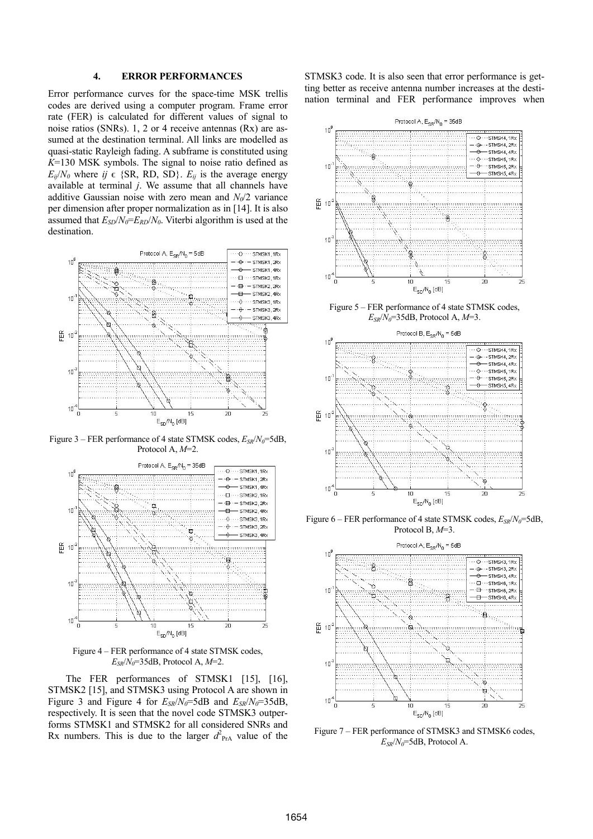## **4. ERROR PERFORMANCES**

Error performance curves for the space-time MSK trellis codes are derived using a computer program. Frame error rate (FER) is calculated for different values of signal to noise ratios (SNRs). 1, 2 or 4 receive antennas (Rx) are assumed at the destination terminal. All links are modelled as quasi-static Rayleigh fading. A subframe is constituted using *K*=130 MSK symbols. The signal to noise ratio defined as  $E_{ij}/N_0$  where  $ij \in \{SR, RD, SD\}$ .  $E_{ij}$  is the average energy available at terminal *j*. We assume that all channels have additive Gaussian noise with zero mean and  $N_0/2$  variance per dimension after proper normalization as in [14]. It is also assumed that  $E_{SD}/N_0=E_{RD}/N_0$ . Viterbi algorithm is used at the destination.



Figure 3 – FER performance of 4 state STMSK codes,  $E_{SR}/N_0 = 5dB$ , Protocol A, *M*=2.



Figure 4 – FER performance of 4 state STMSK codes,  $E_{SR}/N_0$ =35dB, Protocol A,  $M=2$ .

The FER performances of STMSK1 [15], [16], STMSK2 [15], and STMSK3 using Protocol A are shown in Figure 3 and Figure 4 for  $E_{SR}/N_0 = 5dB$  and  $E_{SR}/N_0 = 35dB$ , respectively. It is seen that the novel code STMSK3 outperforms STMSK1 and STMSK2 for all considered SNRs and Rx numbers. This is due to the larger  $d_{\text{PrA}}^2$  value of the STMSK3 code. It is also seen that error performance is getting better as receive antenna number increases at the destination terminal and FER performance improves when



Figure 5 – FER performance of 4 state STMSK codes, *ESR*/*N0*=35dB, Protocol A, *M*=3.



Figure 6 – FER performance of 4 state STMSK codes,  $E_{SR}/N_0$ =5dB, Protocol B, *M*=3.



Figure 7 – FER performance of STMSK3 and STMSK6 codes,  $E_{SR}/N_0 = 5dB$ , Protocol A.